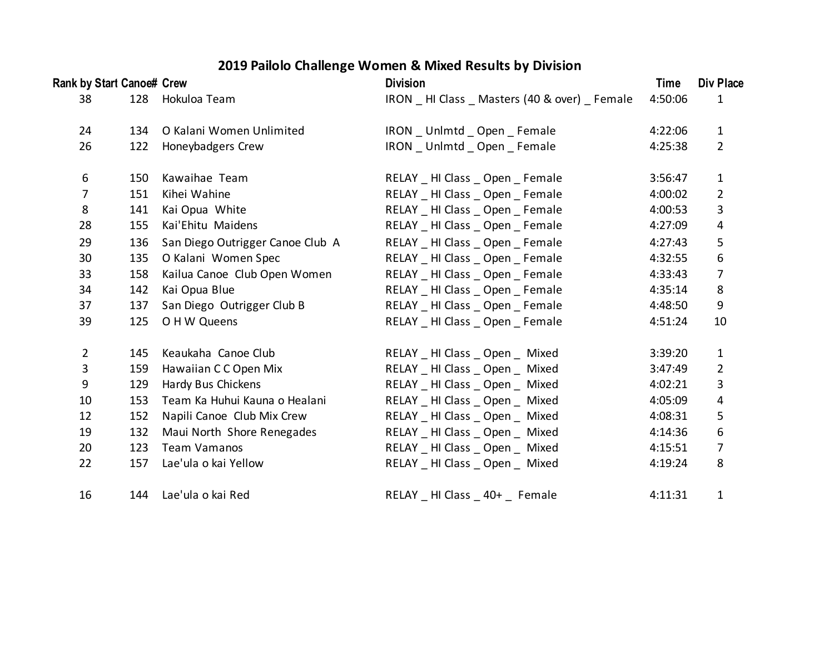## **2019 Pailolo Challenge Women & Mixed Results by Division**

| Rank by Start Canoe# Crew |     |                                  | <b>Division</b>                                | Time    | Div Place        |
|---------------------------|-----|----------------------------------|------------------------------------------------|---------|------------------|
| 38                        | 128 | Hokuloa Team                     | IRON _ HI Class _ Masters (40 & over) _ Female | 4:50:06 | $\mathbf{1}$     |
| 24                        | 134 | O Kalani Women Unlimited         | IRON _ Unlmtd _ Open _ Female                  | 4:22:06 | $\mathbf{1}$     |
| 26                        | 122 | Honeybadgers Crew                | IRON _ Unlmtd _ Open _ Female                  | 4:25:38 | $\overline{2}$   |
| 6                         | 150 | Kawaihae Team                    | RELAY _ HI Class _ Open _ Female               | 3:56:47 | $1\,$            |
| $\overline{7}$            | 151 | Kihei Wahine                     | RELAY _ HI Class _ Open _ Female               | 4:00:02 | $\overline{2}$   |
| 8                         | 141 | Kai Opua White                   | RELAY _ HI Class _ Open _ Female               | 4:00:53 | $\mathbf{3}$     |
| 28                        | 155 | Kai'Ehitu Maidens                | RELAY _ HI Class _ Open _ Female               | 4:27:09 | 4                |
| 29                        | 136 | San Diego Outrigger Canoe Club A | RELAY _ HI Class _ Open _ Female               | 4:27:43 | 5                |
| 30                        | 135 | O Kalani Women Spec              | RELAY _ HI Class _ Open _ Female               | 4:32:55 | $\boldsymbol{6}$ |
| 33                        | 158 | Kailua Canoe Club Open Women     | RELAY _ HI Class _ Open _ Female               | 4:33:43 | $\overline{7}$   |
| 34                        | 142 | Kai Opua Blue                    | RELAY _ HI Class _ Open _ Female               | 4:35:14 | 8                |
| 37                        | 137 | San Diego Outrigger Club B       | RELAY _ HI Class _ Open _ Female               | 4:48:50 | 9                |
| 39                        | 125 | O H W Queens                     | RELAY _ HI Class _ Open _ Female               | 4:51:24 | 10               |
| $\overline{2}$            | 145 | Keaukaha Canoe Club              | RELAY _ HI Class _ Open _ Mixed                | 3:39:20 | $\mathbf{1}$     |
| 3                         | 159 | Hawaiian C C Open Mix            | RELAY _ HI Class _ Open _ Mixed                | 3:47:49 | $\overline{2}$   |
| 9                         | 129 | Hardy Bus Chickens               | RELAY _ HI Class _ Open _ Mixed                | 4:02:21 | 3                |
| 10                        | 153 | Team Ka Huhui Kauna o Healani    | RELAY _ HI Class _ Open _ Mixed                | 4:05:09 | $\overline{4}$   |
| 12                        | 152 | Napili Canoe Club Mix Crew       | RELAY _ HI Class _ Open _ Mixed                | 4:08:31 | 5                |
| 19                        | 132 | Maui North Shore Renegades       | RELAY _ HI Class _ Open _ Mixed                | 4:14:36 | 6                |
| 20                        | 123 | <b>Team Vamanos</b>              | RELAY _ HI Class _ Open _ Mixed                | 4:15:51 | $\overline{7}$   |
| 22                        | 157 | Lae'ula o kai Yellow             | RELAY _ HI Class _ Open _ Mixed                | 4:19:24 | 8                |
| 16                        | 144 | Lae'ula o kai Red                | RELAY HI Class 40+ Female                      | 4:11:31 | 1                |